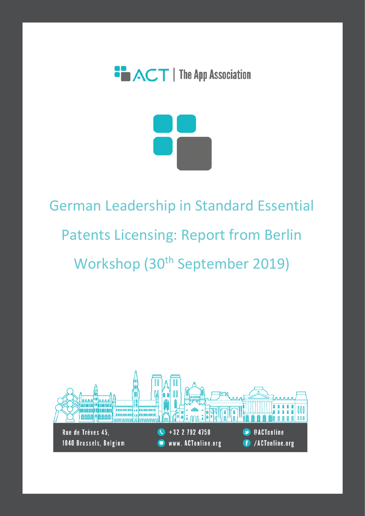



# German Leadership in Standard Essential Patents Licensing: Report from Berlin Workshop (30<sup>th</sup> September 2019)

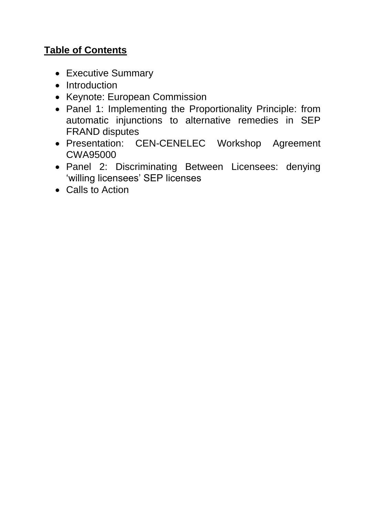# **Table of Contents**

- Executive Summary
- Introduction
- Keynote: European Commission
- Panel 1: Implementing the Proportionality Principle: from automatic injunctions to alternative remedies in SEP FRAND disputes
- Presentation: CEN-CENELEC Workshop Agreement CWA95000
- Panel 2: Discriminating Between Licensees: denying 'willing licensees' SEP licenses
- Calls to Action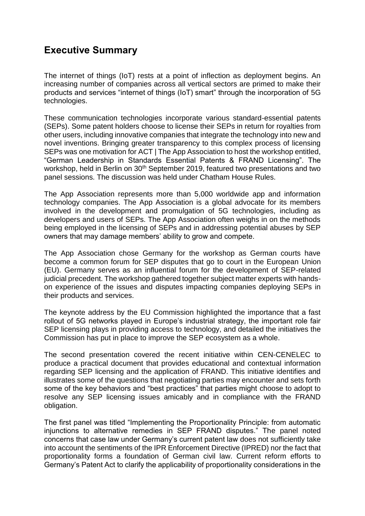## **Executive Summary**

The internet of things (IoT) rests at a point of inflection as deployment begins. An increasing number of companies across all vertical sectors are primed to make their products and services "internet of things (IoT) smart" through the incorporation of 5G technologies.

These communication technologies incorporate various standard-essential patents (SEPs). Some patent holders choose to license their SEPs in return for royalties from other users, including innovative companies that integrate the technology into new and novel inventions. Bringing greater transparency to this complex process of licensing SEPs was one motivation for ACT | The App Association to host the workshop entitled, "German Leadership in Standards Essential Patents & FRAND Licensing". The workshop, held in Berlin on 30<sup>th</sup> September 2019, featured two presentations and two panel sessions. The discussion was held under Chatham House Rules.

The App Association represents more than 5,000 worldwide app and information technology companies. The App Association is a global advocate for its members involved in the development and promulgation of 5G technologies, including as developers and users of SEPs. The App Association often weighs in on the methods being employed in the licensing of SEPs and in addressing potential abuses by SEP owners that may damage members' ability to grow and compete.

The App Association chose Germany for the workshop as German courts have become a common forum for SEP disputes that go to court in the European Union (EU). Germany serves as an influential forum for the development of SEP-related judicial precedent. The workshop gathered together subject matter experts with handson experience of the issues and disputes impacting companies deploying SEPs in their products and services.

The keynote address by the EU Commission highlighted the importance that a fast rollout of 5G networks played in Europe's industrial strategy, the important role fair SEP licensing plays in providing access to technology, and detailed the initiatives the Commission has put in place to improve the SEP ecosystem as a whole.

The second presentation covered the recent initiative within CEN-CENELEC to produce a practical document that provides educational and contextual information regarding SEP licensing and the application of FRAND. This initiative identifies and illustrates some of the questions that negotiating parties may encounter and sets forth some of the key behaviors and "best practices" that parties might choose to adopt to resolve any SEP licensing issues amicably and in compliance with the FRAND obligation.

The first panel was titled "Implementing the Proportionality Principle: from automatic injunctions to alternative remedies in SEP FRAND disputes." The panel noted concerns that case law under Germany's current patent law does not sufficiently take into account the sentiments of the IPR Enforcement Directive (IPRED) nor the fact that proportionality forms a foundation of German civil law. Current reform efforts to Germany's Patent Act to clarify the applicability of proportionality considerations in the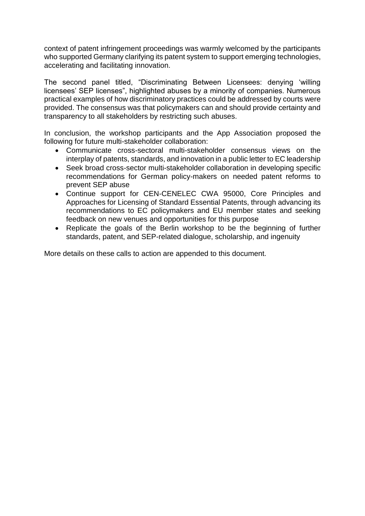context of patent infringement proceedings was warmly welcomed by the participants who supported Germany clarifying its patent system to support emerging technologies, accelerating and facilitating innovation.

The second panel titled, "Discriminating Between Licensees: denying 'willing licensees' SEP licenses", highlighted abuses by a minority of companies. Numerous practical examples of how discriminatory practices could be addressed by courts were provided. The consensus was that policymakers can and should provide certainty and transparency to all stakeholders by restricting such abuses.

In conclusion, the workshop participants and the App Association proposed the following for future multi-stakeholder collaboration:

- Communicate cross-sectoral multi-stakeholder consensus views on the interplay of patents, standards, and innovation in a public letter to EC leadership
- Seek broad cross-sector multi-stakeholder collaboration in developing specific recommendations for German policy-makers on needed patent reforms to prevent SEP abuse
- Continue support for CEN-CENELEC CWA 95000, Core Principles and Approaches for Licensing of Standard Essential Patents, through advancing its recommendations to EC policymakers and EU member states and seeking feedback on new venues and opportunities for this purpose
- Replicate the goals of the Berlin workshop to be the beginning of further standards, patent, and SEP-related dialogue, scholarship, and ingenuity

More details on these calls to action are appended to this document.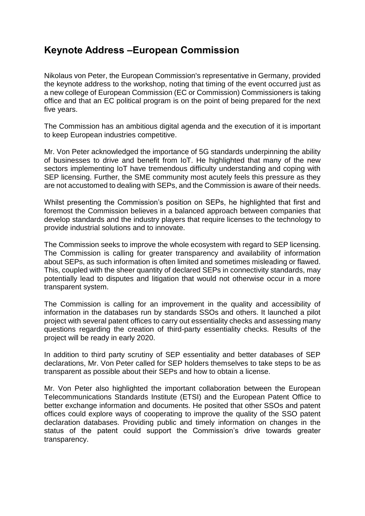## **Keynote Address –European Commission**

Nikolaus von Peter, the European Commission's representative in Germany, provided the keynote address to the workshop, noting that timing of the event occurred just as a new college of European Commission (EC or Commission) Commissioners is taking office and that an EC political program is on the point of being prepared for the next five years.

The Commission has an ambitious digital agenda and the execution of it is important to keep European industries competitive.

Mr. Von Peter acknowledged the importance of 5G standards underpinning the ability of businesses to drive and benefit from IoT. He highlighted that many of the new sectors implementing IoT have tremendous difficulty understanding and coping with SEP licensing. Further, the SME community most acutely feels this pressure as they are not accustomed to dealing with SEPs, and the Commission is aware of their needs.

Whilst presenting the Commission's position on SEPs, he highlighted that first and foremost the Commission believes in a balanced approach between companies that develop standards and the industry players that require licenses to the technology to provide industrial solutions and to innovate.

The Commission seeks to improve the whole ecosystem with regard to SEP licensing. The Commission is calling for greater transparency and availability of information about SEPs, as such information is often limited and sometimes misleading or flawed. This, coupled with the sheer quantity of declared SEPs in connectivity standards, may potentially lead to disputes and litigation that would not otherwise occur in a more transparent system.

The Commission is calling for an improvement in the quality and accessibility of information in the databases run by standards SSOs and others. It launched a pilot project with several patent offices to carry out essentiality checks and assessing many questions regarding the creation of third-party essentiality checks. Results of the project will be ready in early 2020.

In addition to third party scrutiny of SEP essentiality and better databases of SEP declarations, Mr. Von Peter called for SEP holders themselves to take steps to be as transparent as possible about their SEPs and how to obtain a license.

Mr. Von Peter also highlighted the important collaboration between the European Telecommunications Standards Institute (ETSI) and the European Patent Office to better exchange information and documents. He posited that other SSOs and patent offices could explore ways of cooperating to improve the quality of the SSO patent declaration databases. Providing public and timely information on changes in the status of the patent could support the Commission's drive towards greater transparency.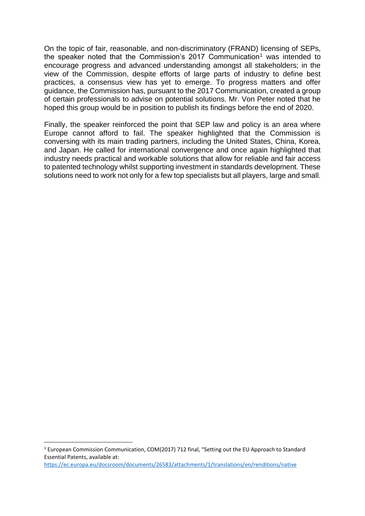On the topic of fair, reasonable, and non-discriminatory (FRAND) licensing of SEPs, the speaker noted that the Commission's 2017 Communication<sup>1</sup> was intended to encourage progress and advanced understanding amongst all stakeholders; in the view of the Commission, despite efforts of large parts of industry to define best practices, a consensus view has yet to emerge. To progress matters and offer guidance, the Commission has, pursuant to the 2017 Communication, created a group of certain professionals to advise on potential solutions. Mr. Von Peter noted that he hoped this group would be in position to publish its findings before the end of 2020.

Finally, the speaker reinforced the point that SEP law and policy is an area where Europe cannot afford to fail. The speaker highlighted that the Commission is conversing with its main trading partners, including the United States, China, Korea, and Japan. He called for international convergence and once again highlighted that industry needs practical and workable solutions that allow for reliable and fair access to patented technology whilst supporting investment in standards development. These solutions need to work not only for a few top specialists but all players, large and small.

1

<sup>1</sup> European Commission Communication, COM(2017) 712 final, "Setting out the EU Approach to Standard Essential Patents, available at:

<https://ec.europa.eu/docsroom/documents/26583/attachments/1/translations/en/renditions/native>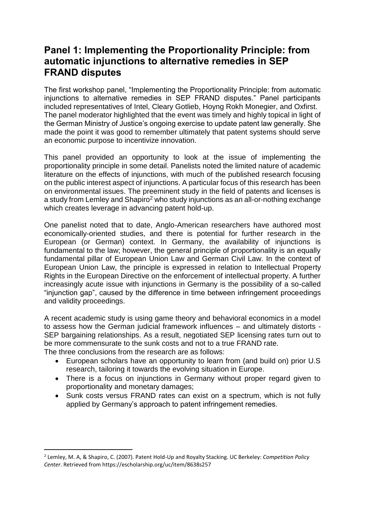## **Panel 1: Implementing the Proportionality Principle: from automatic injunctions to alternative remedies in SEP FRAND disputes**

The first workshop panel, "Implementing the Proportionality Principle: from automatic injunctions to alternative remedies in SEP FRAND disputes." Panel participants included representatives of Intel, Cleary Gotlieb, Hoyng Rokh Monegier, and Oxfirst. The panel moderator highlighted that the event was timely and highly topical in light of the German Ministry of Justice's ongoing exercise to update patent law generally. She made the point it was good to remember ultimately that patent systems should serve an economic purpose to incentivize innovation.

This panel provided an opportunity to look at the issue of implementing the proportionality principle in some detail. Panelists noted the limited nature of academic literature on the effects of injunctions, with much of the published research focusing on the public interest aspect of injunctions. A particular focus of this research has been on environmental issues. The preeminent study in the field of patents and licenses is a study from Lemley and Shapiro<sup>2</sup> who study injunctions as an all-or-nothing exchange which creates leverage in advancing patent hold-up.

One panelist noted that to date, Anglo-American researchers have authored most economically-oriented studies, and there is potential for further research in the European (or German) context. In Germany, the availability of injunctions is fundamental to the law; however, the general principle of proportionality is an equally fundamental pillar of European Union Law and German Civil Law. In the context of European Union Law, the principle is expressed in relation to Intellectual Property Rights in the European Directive on the enforcement of intellectual property. A further increasingly acute issue with injunctions in Germany is the possibility of a so-called "injunction gap", caused by the difference in time between infringement proceedings and validity proceedings.

A recent academic study is using game theory and behavioral economics in a model to assess how the German judicial framework influences – and ultimately distorts - SEP bargaining relationships. As a result, negotiated SEP licensing rates turn out to be more commensurate to the sunk costs and not to a true FRAND rate. The three conclusions from the research are as follows:

- European scholars have an opportunity to learn from (and build on) prior U.S research, tailoring it towards the evolving situation in Europe.
- There is a focus on injunctions in Germany without proper regard given to proportionality and monetary damages;
- Sunk costs versus FRAND rates can exist on a spectrum, which is not fully applied by Germany's approach to patent infringement remedies.

-

<sup>2</sup> Lemley, M. A, & Shapiro, C. (2007). Patent Hold-Up and Royalty Stacking. UC Berkeley: *Competition Policy Center*. Retrieved from https://escholarship.org/uc/item/8638s257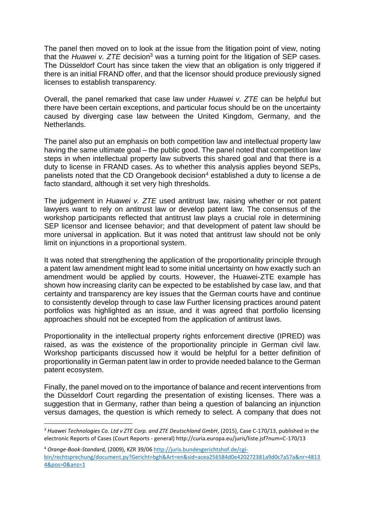The panel then moved on to look at the issue from the litigation point of view, noting that the *Huawei v. ZTE* decision<sup>3</sup> was a turning point for the litigation of SEP cases. The Düsseldorf Court has since taken the view that an obligation is only triggered if there is an initial FRAND offer, and that the licensor should produce previously signed licenses to establish transparency.

Overall, the panel remarked that case law under *Huawei v. ZTE* can be helpful but there have been certain exceptions, and particular focus should be on the uncertainty caused by diverging case law between the United Kingdom, Germany, and the Netherlands.

The panel also put an emphasis on both competition law and intellectual property law having the same ultimate goal – the public good. The panel noted that competition law steps in when intellectual property law subverts this shared goal and that there is a duty to license in FRAND cases. As to whether this analysis applies beyond SEPs, panelists noted that the CD Orangebook decision<sup>4</sup> established a duty to license a de facto standard, although it set very high thresholds.

The judgement in *Huawei v. ZTE* used antitrust law, raising whether or not patent lawyers want to rely on antitrust law or develop patent law. The consensus of the workshop participants reflected that antitrust law plays a crucial role in determining SEP licensor and licensee behavior; and that development of patent law should be more universal in application. But it was noted that antitrust law should not be only limit on injunctions in a proportional system.

It was noted that strengthening the application of the proportionality principle through a patent law amendment might lead to some initial uncertainty on how exactly such an amendment would be applied by courts. However, the Huawei-ZTE example has shown how increasing clarity can be expected to be established by case law, and that certainty and transparency are key issues that the German courts have and continue to consistently develop through to case law Further licensing practices around patent portfolios was highlighted as an issue, and it was agreed that portfolio licensing approaches should not be excepted from the application of antitrust laws.

Proportionality in the intellectual property rights enforcement directive (IPRED) was raised, as was the existence of the proportionality principle in German civil law. Workshop participants discussed how it would be helpful for a better definition of proportionality in German patent law in order to provide needed balance to the German patent ecosystem.

Finally, the panel moved on to the importance of balance and recent interventions from the Düsseldorf Court regarding the presentation of existing licenses. There was a suggestion that in Germany, rather than being a question of balancing an injunction versus damages, the question is which remedy to select. A company that does not

-

<sup>3</sup> *Huawei Technologies Co. Ltd v ZTE Corp. and ZTE Deutschland GmbH*, (2015), Case C-170/13, published in the electronic Reports of Cases (Court Reports - general) http://curia.europa.eu/juris/liste.jsf?num=C-170/13

<sup>4</sup> *Orange-Book-Standard,* (2009), KZR 39/06 [http://juris.bundesgerichtshof.de/cgi](http://juris.bundesgerichtshof.de/cgi-bin/rechtsprechung/document.py?Gericht=bgh&Art=en&sid=acea256584d0e420272381a9d0c7a57a&nr=48134&pos=0&anz=1)[bin/rechtsprechung/document.py?Gericht=bgh&Art=en&sid=acea256584d0e420272381a9d0c7a57a&nr=4813](http://juris.bundesgerichtshof.de/cgi-bin/rechtsprechung/document.py?Gericht=bgh&Art=en&sid=acea256584d0e420272381a9d0c7a57a&nr=48134&pos=0&anz=1) [4&pos=0&anz=1](http://juris.bundesgerichtshof.de/cgi-bin/rechtsprechung/document.py?Gericht=bgh&Art=en&sid=acea256584d0e420272381a9d0c7a57a&nr=48134&pos=0&anz=1)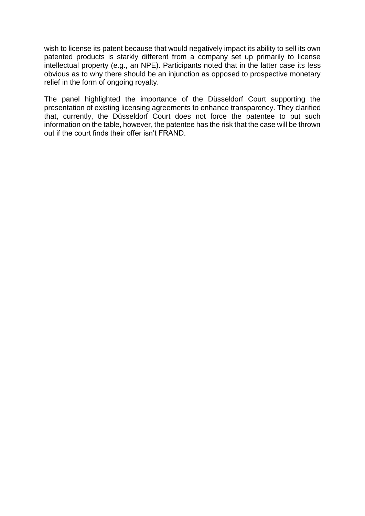wish to license its patent because that would negatively impact its ability to sell its own patented products is starkly different from a company set up primarily to license intellectual property (e.g., an NPE). Participants noted that in the latter case its less obvious as to why there should be an injunction as opposed to prospective monetary relief in the form of ongoing royalty.

The panel highlighted the importance of the Düsseldorf Court supporting the presentation of existing licensing agreements to enhance transparency. They clarified that, currently, the Düsseldorf Court does not force the patentee to put such information on the table, however, the patentee has the risk that the case will be thrown out if the court finds their offer isn't FRAND.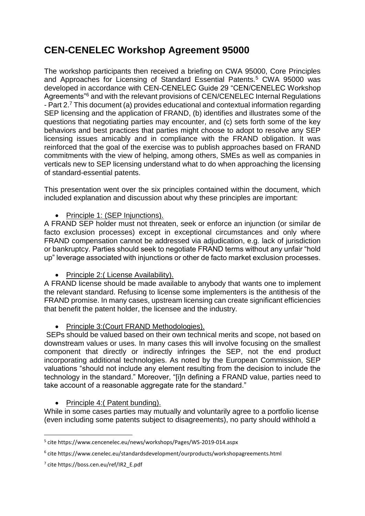# **CEN-CENELEC Workshop Agreement 95000**

The workshop participants then received a briefing on CWA 95000, Core Principles and Approaches for Licensing of Standard Essential Patents.<sup>5</sup> CWA 95000 was developed in accordance with CEN-CENELEC Guide 29 "CEN/CENELEC Workshop Agreements"<sup>6</sup> and with the relevant provisions of CEN/CENELEC Internal Regulations - Part 2.<sup>7</sup> This document (a) provides educational and contextual information regarding SEP licensing and the application of FRAND, (b) identifies and illustrates some of the questions that negotiating parties may encounter, and (c) sets forth some of the key behaviors and best practices that parties might choose to adopt to resolve any SEP licensing issues amicably and in compliance with the FRAND obligation. It was reinforced that the goal of the exercise was to publish approaches based on FRAND commitments with the view of helping, among others, SMEs as well as companies in verticals new to SEP licensing understand what to do when approaching the licensing of standard-essential patents.

This presentation went over the six principles contained within the document, which included explanation and discussion about why these principles are important:

• Principle 1: (SEP Injunctions).

A FRAND SEP holder must not threaten, seek or enforce an injunction (or similar de facto exclusion processes) except in exceptional circumstances and only where FRAND compensation cannot be addressed via adjudication, e.g. lack of jurisdiction or bankruptcy. Parties should seek to negotiate FRAND terms without any unfair "hold up" leverage associated with injunctions or other de facto market exclusion processes.

#### • Principle 2: (License Availability).

A FRAND license should be made available to anybody that wants one to implement the relevant standard. Refusing to license some implementers is the antithesis of the FRAND promise. In many cases, upstream licensing can create significant efficiencies that benefit the patent holder, the licensee and the industry.

• Principle 3: (Court FRAND Methodologies).

SEPs should be valued based on their own technical merits and scope, not based on downstream values or uses. In many cases this will involve focusing on the smallest component that directly or indirectly infringes the SEP, not the end product incorporating additional technologies. As noted by the European Commission, SEP valuations "should not include any element resulting from the decision to include the technology in the standard." Moreover, "[i]n defining a FRAND value, parties need to take account of a reasonable aggregate rate for the standard."

#### • Principle 4: (Patent bunding).

While in some cases parties may mutually and voluntarily agree to a portfolio license (even including some patents subject to disagreements), no party should withhold a

1

<sup>5</sup> cite https://www.cencenelec.eu/news/workshops/Pages/WS-2019-014.aspx

<sup>6</sup> cite https://www.cenelec.eu/standardsdevelopment/ourproducts/workshopagreements.html

<sup>7</sup> cite https://boss.cen.eu/ref/IR2\_E.pdf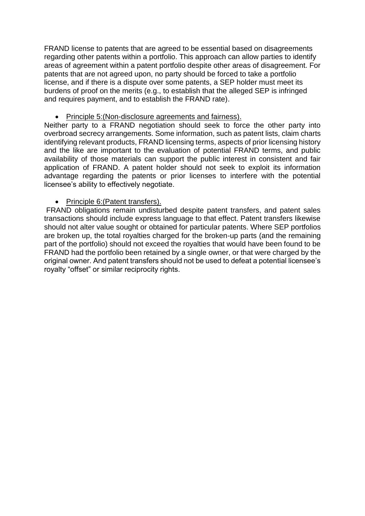FRAND license to patents that are agreed to be essential based on disagreements regarding other patents within a portfolio. This approach can allow parties to identify areas of agreement within a patent portfolio despite other areas of disagreement. For patents that are not agreed upon, no party should be forced to take a portfolio license, and if there is a dispute over some patents, a SEP holder must meet its burdens of proof on the merits (e.g., to establish that the alleged SEP is infringed and requires payment, and to establish the FRAND rate).

• Principle 5:(Non-disclosure agreements and fairness).

Neither party to a FRAND negotiation should seek to force the other party into overbroad secrecy arrangements. Some information, such as patent lists, claim charts identifying relevant products, FRAND licensing terms, aspects of prior licensing history and the like are important to the evaluation of potential FRAND terms, and public availability of those materials can support the public interest in consistent and fair application of FRAND. A patent holder should not seek to exploit its information advantage regarding the patents or prior licenses to interfere with the potential licensee's ability to effectively negotiate.

#### • Principle 6:(Patent transfers).

FRAND obligations remain undisturbed despite patent transfers, and patent sales transactions should include express language to that effect. Patent transfers likewise should not alter value sought or obtained for particular patents. Where SEP portfolios are broken up, the total royalties charged for the broken-up parts (and the remaining part of the portfolio) should not exceed the royalties that would have been found to be FRAND had the portfolio been retained by a single owner, or that were charged by the original owner. And patent transfers should not be used to defeat a potential licensee's royalty "offset" or similar reciprocity rights.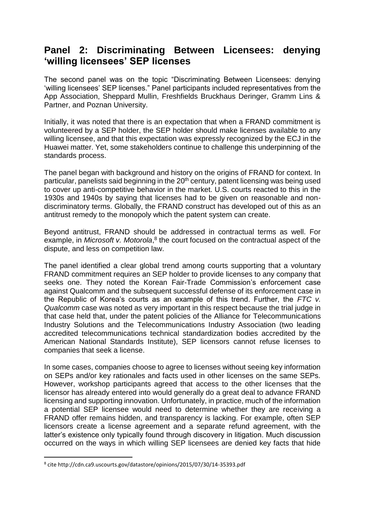## **Panel 2: Discriminating Between Licensees: denying 'willing licensees' SEP licenses**

The second panel was on the topic "Discriminating Between Licensees: denying 'willing licensees' SEP licenses." Panel participants included representatives from the App Association, Sheppard Mullin, Freshfields Bruckhaus Deringer, Gramm Lins & Partner, and Poznan University.

Initially, it was noted that there is an expectation that when a FRAND commitment is volunteered by a SEP holder, the SEP holder should make licenses available to any willing licensee, and that this expectation was expressly recognized by the ECJ in the Huawei matter. Yet, some stakeholders continue to challenge this underpinning of the standards process.

The panel began with background and history on the origins of FRAND for context. In particular, panelists said beginning in the 20<sup>th</sup> century, patent licensing was being used to cover up anti-competitive behavior in the market. U.S. courts reacted to this in the 1930s and 1940s by saying that licenses had to be given on reasonable and nondiscriminatory terms. Globally, the FRAND construct has developed out of this as an antitrust remedy to the monopoly which the patent system can create.

Beyond antitrust, FRAND should be addressed in contractual terms as well. For example, in *Microsoft v. Motorola*,<sup>8</sup> the court focused on the contractual aspect of the dispute, and less on competition law.

The panel identified a clear global trend among courts supporting that a voluntary FRAND commitment requires an SEP holder to provide licenses to any company that seeks one. They noted the Korean Fair-Trade Commission's enforcement case against Qualcomm and the subsequent successful defense of its enforcement case in the Republic of Korea's courts as an example of this trend. Further, the *FTC v. Qualcomm* case was noted as very important in this respect because the trial judge in that case held that, under the patent policies of the Alliance for Telecommunications Industry Solutions and the Telecommunications Industry Association (two leading accredited telecommunications technical standardization bodies accredited by the American National Standards Institute), SEP licensors cannot refuse licenses to companies that seek a license.

In some cases, companies choose to agree to licenses without seeing key information on SEPs and/or key rationales and facts used in other licenses on the same SEPs. However, workshop participants agreed that access to the other licenses that the licensor has already entered into would generally do a great deal to advance FRAND licensing and supporting innovation. Unfortunately, in practice, much of the information a potential SEP licensee would need to determine whether they are receiving a FRAND offer remains hidden, and transparency is lacking. For example, often SEP licensors create a license agreement and a separate refund agreement, with the latter's existence only typically found through discovery in litigation. Much discussion occurred on the ways in which willing SEP licensees are denied key facts that hide

-

<sup>8</sup> cite http://cdn.ca9.uscourts.gov/datastore/opinions/2015/07/30/14-35393.pdf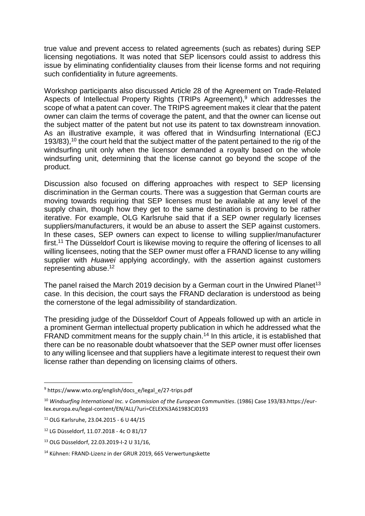true value and prevent access to related agreements (such as rebates) during SEP licensing negotiations. It was noted that SEP licensors could assist to address this issue by eliminating confidentiality clauses from their license forms and not requiring such confidentiality in future agreements.

Workshop participants also discussed Article 28 of the Agreement on Trade-Related Aspects of Intellectual Property Rights (TRIPs Agreement),<sup>9</sup> which addresses the scope of what a patent can cover. The TRIPS agreement makes it clear that the patent owner can claim the terms of coverage the patent, and that the owner can license out the subject matter of the patent but not use its patent to tax downstream innovation. As an illustrative example, it was offered that in Windsurfing International (ECJ 193/83),<sup>10</sup> the court held that the subject matter of the patent pertained to the rig of the windsurfing unit only when the licensor demanded a royalty based on the whole windsurfing unit, determining that the license cannot go beyond the scope of the product.

Discussion also focused on differing approaches with respect to SEP licensing discrimination in the German courts. There was a suggestion that German courts are moving towards requiring that SEP licenses must be available at any level of the supply chain, though how they get to the same destination is proving to be rather iterative. For example, OLG Karlsruhe said that if a SEP owner regularly licenses suppliers/manufacturers, it would be an abuse to assert the SEP against customers. In these cases, SEP owners can expect to license to willing supplier/manufacturer first.<sup>11</sup> The Düsseldorf Court is likewise moving to require the offering of licenses to all willing licensees, noting that the SEP owner must offer a FRAND license to any willing supplier with *Huawei* applying accordingly, with the assertion against customers representing abuse. 12

The panel raised the March 2019 decision by a German court in the Unwired Planet<sup>13</sup> case. In this decision, the court says the FRAND declaration is understood as being the cornerstone of the legal admissibility of standardization.

The presiding judge of the Düsseldorf Court of Appeals followed up with an article in a prominent German intellectual property publication in which he addressed what the FRAND commitment means for the supply chain.<sup>14</sup> In this article, it is established that there can be no reasonable doubt whatsoever that the SEP owner must offer licenses to any willing licensee and that suppliers have a legitimate interest to request their own license rather than depending on licensing claims of others.

1

<sup>9</sup> https://www.wto.org/english/docs\_e/legal\_e/27-trips.pdf

<sup>10</sup> *Windsurfing International Inc. v Commission of the European Communities*. (1986) Case 193/83.https://eurlex.europa.eu/legal-content/EN/ALL/?uri=CELEX%3A61983CJ0193

<sup>11</sup> OLG Karlsruhe, 23.04.2015 - 6 U 44/15

<sup>12</sup> LG Düsseldorf, 11.07.2018 - 4c O 81/17

<sup>13</sup> OLG Düsseldorf, 22.03.2019-I-2 U 31/16,

<sup>14</sup> Kühnen: FRAND-Lizenz in der GRUR 2019, 665 Verwertungskette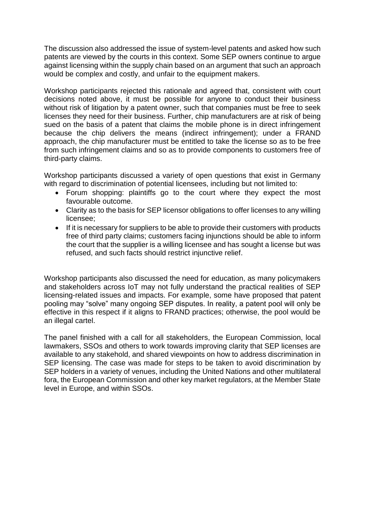The discussion also addressed the issue of system-level patents and asked how such patents are viewed by the courts in this context. Some SEP owners continue to argue against licensing within the supply chain based on an argument that such an approach would be complex and costly, and unfair to the equipment makers.

Workshop participants rejected this rationale and agreed that, consistent with court decisions noted above, it must be possible for anyone to conduct their business without risk of litigation by a patent owner, such that companies must be free to seek licenses they need for their business. Further, chip manufacturers are at risk of being sued on the basis of a patent that claims the mobile phone is in direct infringement because the chip delivers the means (indirect infringement); under a FRAND approach, the chip manufacturer must be entitled to take the license so as to be free from such infringement claims and so as to provide components to customers free of third-party claims.

Workshop participants discussed a variety of open questions that exist in Germany with regard to discrimination of potential licensees, including but not limited to:

- Forum shopping: plaintiffs go to the court where they expect the most favourable outcome.
- Clarity as to the basis for SEP licensor obligations to offer licenses to any willing licensee;
- If it is necessary for suppliers to be able to provide their customers with products free of third party claims; customers facing injunctions should be able to inform the court that the supplier is a willing licensee and has sought a license but was refused, and such facts should restrict injunctive relief.

Workshop participants also discussed the need for education, as many policymakers and stakeholders across IoT may not fully understand the practical realities of SEP licensing-related issues and impacts. For example, some have proposed that patent pooling may "solve" many ongoing SEP disputes. In reality, a patent pool will only be effective in this respect if it aligns to FRAND practices; otherwise, the pool would be an illegal cartel.

The panel finished with a call for all stakeholders, the European Commission, local lawmakers, SSOs and others to work towards improving clarity that SEP licenses are available to any stakehold, and shared viewpoints on how to address discrimination in SEP licensing. The case was made for steps to be taken to avoid discrimination by SEP holders in a variety of venues, including the United Nations and other multilateral fora, the European Commission and other key market regulators, at the Member State level in Europe, and within SSOs.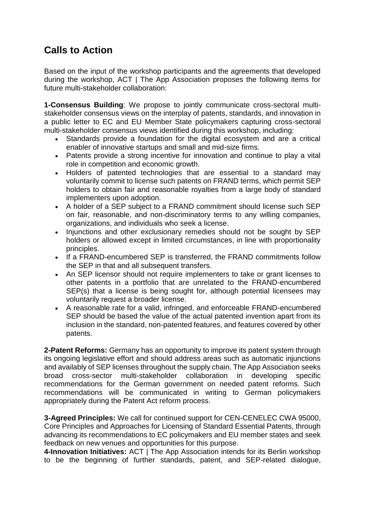## **Calls to Action**

Based on the input of the workshop participants and the agreements that developed during the workshop, ACT | The App Association proposes the following items for future multi-stakeholder collaboration:

**1-Consensus Building**: We propose to jointly communicate cross-sectoral multistakeholder consensus views on the interplay of patents, standards, and innovation in a public letter to EC and EU Member State policymakers capturing cross-sectoral multi-stakeholder consensus views identified during this workshop, including:

- Standards provide a foundation for the digital ecosystem and are a critical enabler of innovative startups and small and mid-size firms.
- Patents provide a strong incentive for innovation and continue to play a vital role in competition and economic growth.
- Holders of patented technologies that are essential to a standard may voluntarily commit to license such patents on FRAND terms, which permit SEP holders to obtain fair and reasonable royalties from a large body of standard implementers upon adoption.
- A holder of a SEP subject to a FRAND commitment should license such SEP on fair, reasonable, and non-discriminatory terms to any willing companies, organizations, and individuals who seek a license.
- Injunctions and other exclusionary remedies should not be sought by SEP holders or allowed except in limited circumstances, in line with proportionality principles.
- If a FRAND-encumbered SEP is transferred, the FRAND commitments follow the SEP in that and all subsequent transfers.
- An SEP licensor should not require implementers to take or grant licenses to other patents in a portfolio that are unrelated to the FRAND-encumbered SEP(s) that a license is being sought for, although potential licensees may voluntarily request a broader license.
- A reasonable rate for a valid, infringed, and enforceable FRAND-encumbered SEP should be based the value of the actual patented invention apart from its inclusion in the standard, non-patented features, and features covered by other patents.

**2-Patent Reforms:** Germany has an opportunity to improve its patent system through its ongoing legislative effort and should address areas such as automatic injunctions and availably of SEP licenses throughout the supply chain. The App Association seeks broad cross-sector multi-stakeholder collaboration in developing specific recommendations for the German government on needed patent reforms. Such recommendations will be communicated in writing to German policymakers appropriately during the Patent Act reform process.

**3-Agreed Principles:** We call for continued support for CEN-CENELEC CWA 95000, Core Principles and Approaches for Licensing of Standard Essential Patents, through advancing its recommendations to EC policymakers and EU member states and seek feedback on new venues and opportunities for this purpose.

**4-Innovation Initiatives:** ACT | The App Association intends for its Berlin workshop to be the beginning of further standards, patent, and SEP-related dialogue,